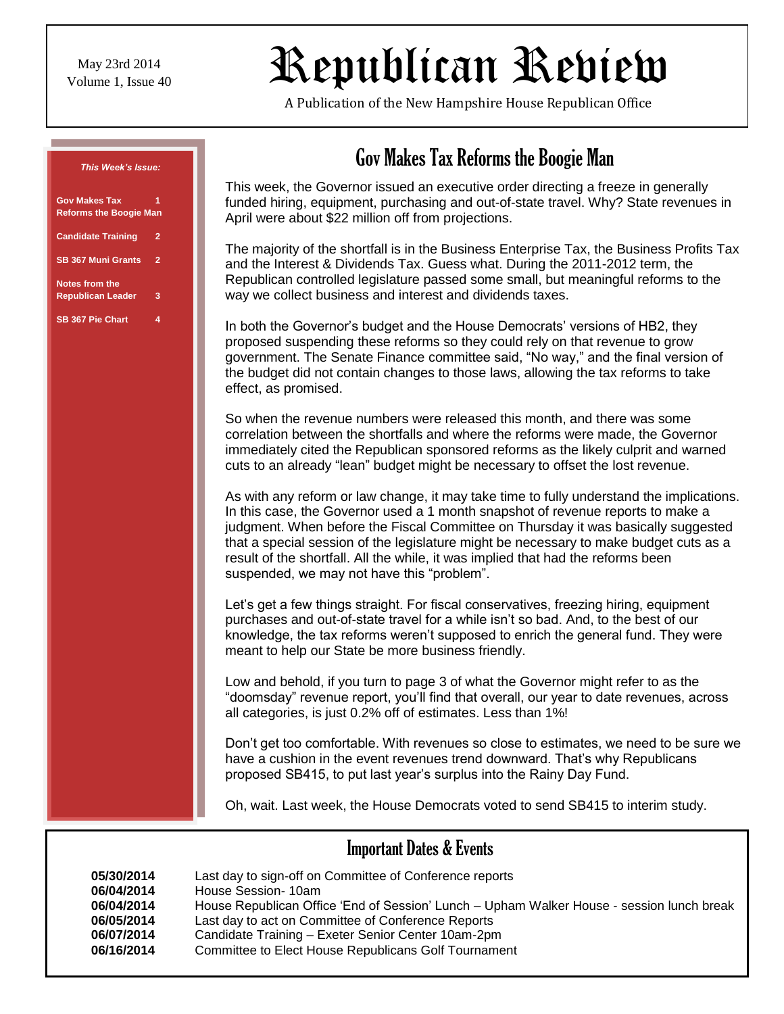May 23rd 2014

# $N_{\text{Volume 1, Issue 40}}$  Republican Review

A Publication of the New Hampshire House Republican Office

#### *This Week's Issue:*

| <b>Gov Makes Tax</b><br><b>Reforms the Boogie Man</b> |                |
|-------------------------------------------------------|----------------|
| <b>Candidate Training</b>                             | $\overline{2}$ |
| <b>SB 367 Muni Grants</b>                             | $\overline{2}$ |
| <b>Notes from the</b><br><b>Republican Leader</b>     | 3              |
| <b>SB 367 Pie Chart</b>                               | 4              |

## Gov Makes Tax Reforms the Boogie Man

This week, the Governor issued an executive order directing a freeze in generally funded hiring, equipment, purchasing and out-of-state travel. Why? State revenues in April were about \$22 million off from projections.

The majority of the shortfall is in the Business Enterprise Tax, the Business Profits Tax and the Interest & Dividends Tax. Guess what. During the 2011-2012 term, the Republican controlled legislature passed some small, but meaningful reforms to the way we collect business and interest and dividends taxes.

In both the Governor's budget and the House Democrats' versions of HB2, they proposed suspending these reforms so they could rely on that revenue to grow government. The Senate Finance committee said, "No way," and the final version of the budget did not contain changes to those laws, allowing the tax reforms to take effect, as promised.

So when the revenue numbers were released this month, and there was some correlation between the shortfalls and where the reforms were made, the Governor immediately cited the Republican sponsored reforms as the likely culprit and warned cuts to an already "lean" budget might be necessary to offset the lost revenue.

As with any reform or law change, it may take time to fully understand the implications. In this case, the Governor used a 1 month snapshot of revenue reports to make a judgment. When before the Fiscal Committee on Thursday it was basically suggested that a special session of the legislature might be necessary to make budget cuts as a result of the shortfall. All the while, it was implied that had the reforms been suspended, we may not have this "problem".

Let's get a few things straight. For fiscal conservatives, freezing hiring, equipment purchases and out-of-state travel for a while isn't so bad. And, to the best of our knowledge, the tax reforms weren't supposed to enrich the general fund. They were meant to help our State be more business friendly.

Low and behold, if you turn to page 3 of what the Governor might refer to as the "doomsday" revenue report, you'll find that overall, our year to date revenues, across all categories, is just 0.2% off of estimates. Less than 1%!

Don't get too comfortable. With revenues so close to estimates, we need to be sure we have a cushion in the event revenues trend downward. That's why Republicans proposed SB415, to put last year's surplus into the Rainy Day Fund.

Oh, wait. Last week, the House Democrats voted to send SB415 to interim study.

## Important Dates & Events

| 05/30/2014 | Last day to sign-off on Committee of Conference reports                                   |
|------------|-------------------------------------------------------------------------------------------|
| 06/04/2014 | House Session- 10am                                                                       |
| 06/04/2014 | House Republican Office 'End of Session' Lunch – Upham Walker House - session lunch break |
| 06/05/2014 | Last day to act on Committee of Conference Reports                                        |
| 06/07/2014 | Candidate Training - Exeter Senior Center 10am-2pm                                        |
| 06/16/2014 | Committee to Elect House Republicans Golf Tournament                                      |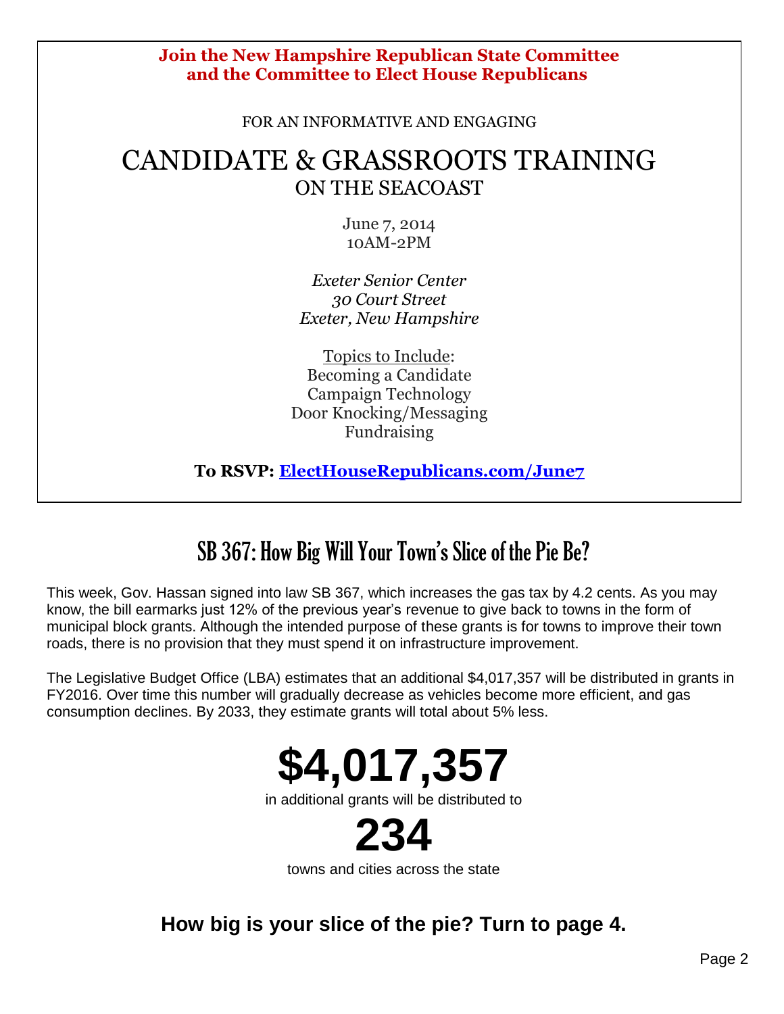#### **Join the New Hampshire Republican State Committee and the Committee to Elect House Republicans**

FOR AN INFORMATIVE AND ENGAGING

## CANDIDATE & GRASSROOTS TRAINING ON THE SEACOAST

June 7, 2014 10AM-2PM

*Exeter Senior Center 30 Court Street Exeter, New Hampshire*

Topics to Include: Becoming a Candidate Campaign Technology Door Knocking/Messaging Fundraising

**To RSVP: [ElectHouseRepublicans.com/June7](http://r20.rs6.net/tn.jsp?f=001ZYdGg05V3kGEL7GUhk6QqkDxcj1XDFVwm4t9mYCGWC9dO0p08xu4blLEjOHIlRvNQdJujiuQnZuRUPPQRL-4-4gzgszy-IV1_xSGcIIj0ocQ3tAAFmr5WhdgeioLcbz7cNVHBP4obZBRfAcLARzP7pLAeRouLZlstx06EuTgDbfMKVkom8o0dmvk0hPJWgIK&c=9-WoemI9U22K5xknh7Hr5bK38FyaA2BsUD_ntF4Nl7ONiv9qEs6lSQ==&ch=V3C-z9-qzqekfyS1LJ6y5WZzsIfoLluXdUzaHBqSbWY-uurxAko-hA==)**

# SB 367: How Big Will Your Town's Slice of the Pie Be?

This week, Gov. Hassan signed into law SB 367, which increases the gas tax by 4.2 cents. As you may know, the bill earmarks just 12% of the previous year's revenue to give back to towns in the form of municipal block grants. Although the intended purpose of these grants is for towns to improve their town roads, there is no provision that they must spend it on infrastructure improvement.

The Legislative Budget Office (LBA) estimates that an additional \$4,017,357 will be distributed in grants in FY2016. Over time this number will gradually decrease as vehicles become more efficient, and gas consumption declines. By 2033, they estimate grants will total about 5% less.



in additional grants will be distributed to



towns and cities across the state

**How big is your slice of the pie? Turn to page 4.**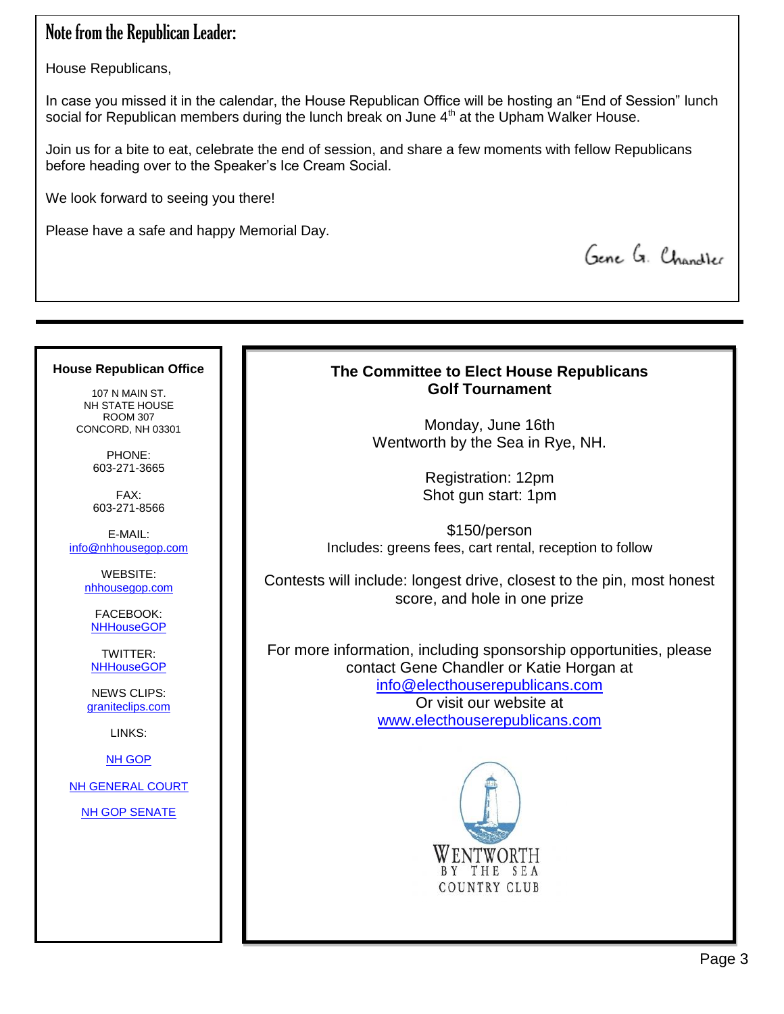## Note from the Republican Leader:

House Republicans,

In case you missed it in the calendar, the House Republican Office will be hosting an "End of Session" lunch social for Republican members during the lunch break on June 4<sup>th</sup> at the Upham Walker House.

Join us for a bite to eat, celebrate the end of session, and share a few moments with fellow Republicans before heading over to the Speaker's Ice Cream Social.

We look forward to seeing you there!

Please have a safe and happy Memorial Day.

Gene G. Chandler

#### **The Committee to Elect House Republicans Golf Tournament**

Monday, June 16th Wentworth by the Sea in Rye, NH.

> Registration: 12pm Shot gun start: 1pm

\$150/person Includes: greens fees, cart rental, reception to follow

Contests will include: longest drive, closest to the pin, most honest score, and hole in one prize

For more information, including sponsorship opportunities, please contact Gene Chandler or Katie Horgan at [info@electhouserepublicans.com](mailto:info@electhouserepublicans.com) Or visit our website at [www.electhouserepublicans.com](http://www.electhouserepublicans.com/)



### **House Republican Office**

107 N MAIN ST. NH STATE HOUSE ROOM 307 CONCORD, NH 03301

> PHONE: 603-271-3665

> FAX: 603-271-8566

E-MAIL: [info@nhhousegop.com](mailto:info@nhhousegop.com)

> WEBSITE: [nhhousegop.com](http://www.nhhousegop.com/)

FACEBOOK: **[NHHouseGOP](https://www.facebook.com/nhhousegop)** 

TWITTER: **[NHHouseGOP](https://twitter.com/NHHouseGOP)** 

NEWS CLIPS: [graniteclips.com](http://www.graniteclips.com/)

LINKS:

[NH GOP](http://www.nhgop.org/)

[NH GENERAL COURT](http://gencourt.state.nh.us/)

[NH GOP SENATE](https://www.facebook.com/pages/NH-GOP-Senate/164846717334?fref=ts)